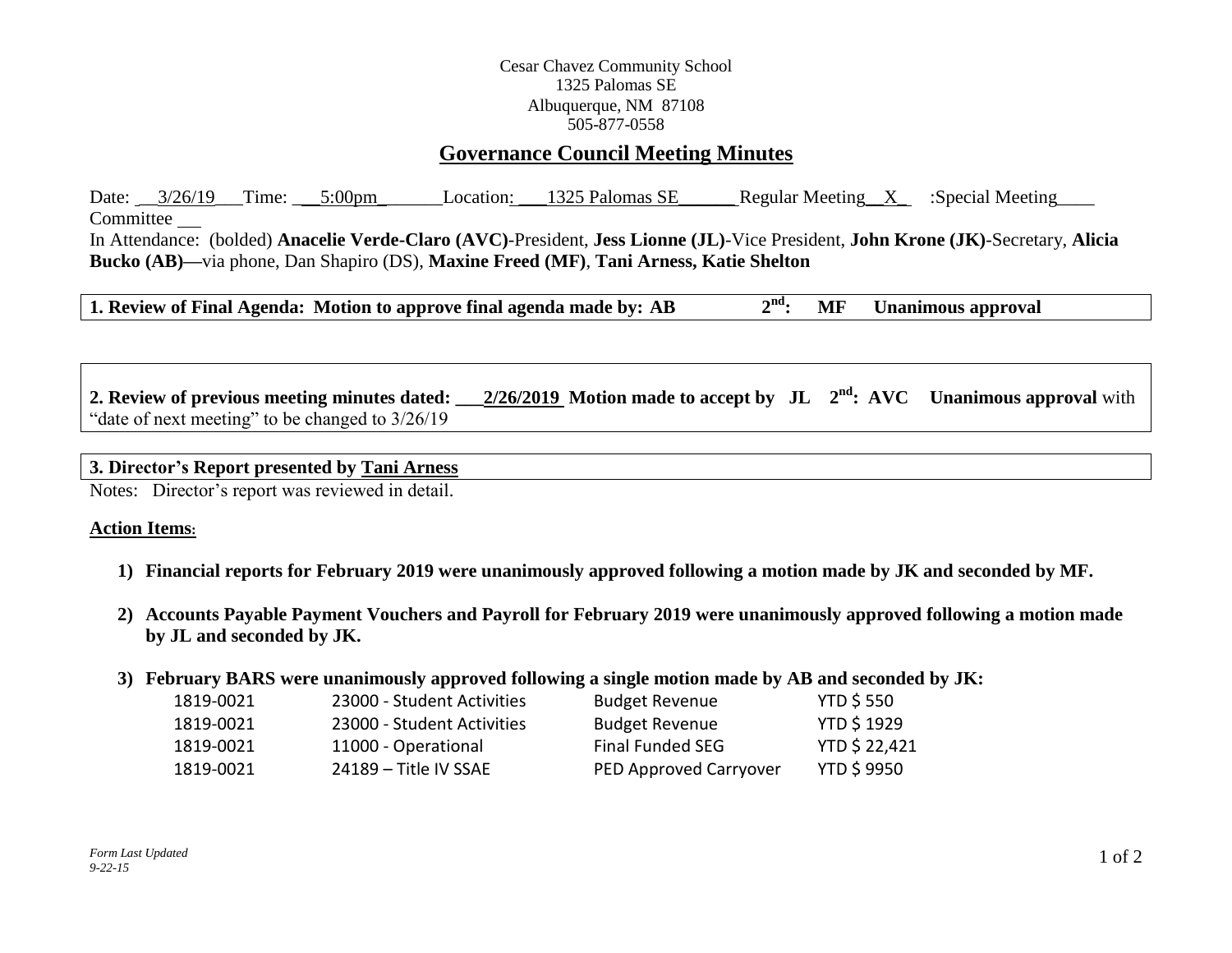### Cesar Chavez Community School 1325 Palomas SE Albuquerque, NM 87108 505-877-0558

# **Governance Council Meeting Minutes**

Date:  $3/26/19$  Time:  $5:00 \text{pm}$  Location:  $1325$  Palomas SE Regular Meeting X :Special Meeting Committee In Attendance: (bolded) **Anacelie Verde-Claro (AVC)**-President, **Jess Lionne (JL)**-Vice President, **John Krone (JK)**-Secretary, **Alicia Bucko (AB)—**via phone, Dan Shapiro (DS), **Maxine Freed (MF)**, **Tani Arness, Katie Shelton**

**1. Review of Final Agenda:** Motion to approve final agenda made by: AB  $2<sup>nd</sup>$ : **nd: MF Unanimous approval**

**2. Review of previous meeting minutes dated: 2/26/2019** Motion made to accept by  $JL$   $2<sup>nd</sup>$ : AVC Unanimous approval with "date of next meeting" to be changed to 3/26/19

#### **3. Director's Report presented by Tani Arness**

Notes: Director's report was reviewed in detail.

#### **Action Items:**

- **1) Financial reports for February 2019 were unanimously approved following a motion made by JK and seconded by MF.**
- **2) Accounts Payable Payment Vouchers and Payroll for February 2019 were unanimously approved following a motion made by JL and seconded by JK.**

#### **3) February BARS were unanimously approved following a single motion made by AB and seconded by JK:**

| 1819-0021 | 23000 - Student Activities | <b>Budget Revenue</b>  | <b>YTD \$550</b>     |
|-----------|----------------------------|------------------------|----------------------|
| 1819-0021 | 23000 - Student Activities | <b>Budget Revenue</b>  | <b>YTD \$1929</b>    |
| 1819-0021 | 11000 - Operational        | Final Funded SEG       | <b>YTD \$ 22,421</b> |
| 1819-0021 | 24189 – Title IV SSAF      | PED Approved Carryover | <b>YTD \$9950</b>    |